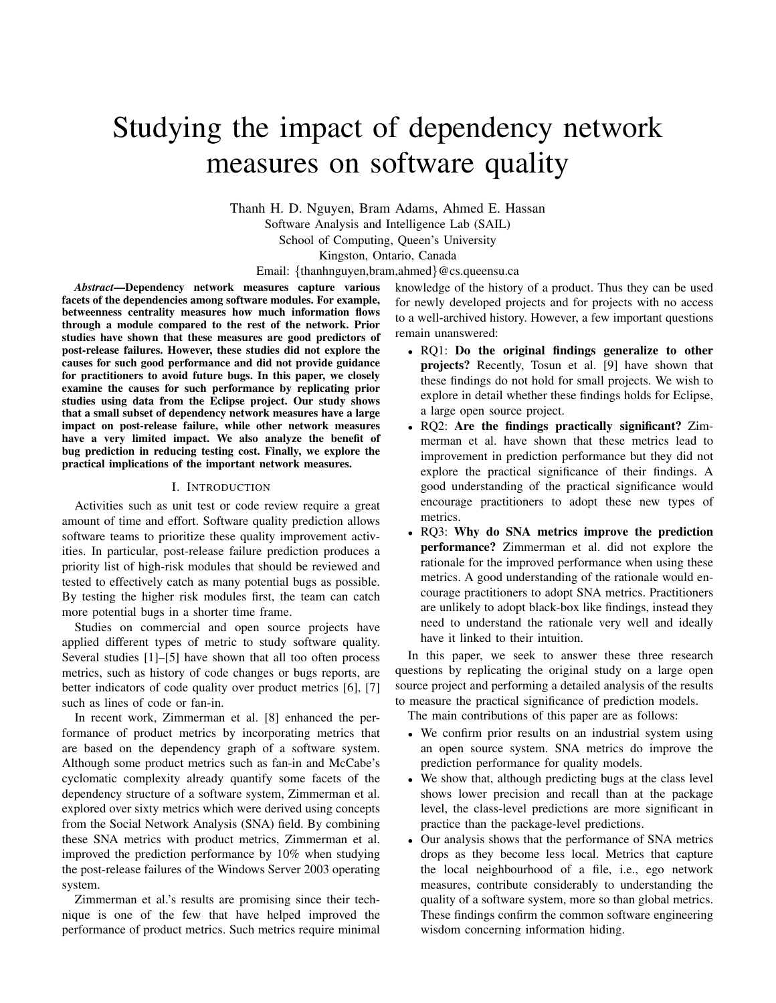# Studying the impact of dependency network measures on software quality

Thanh H. D. Nguyen, Bram Adams, Ahmed E. Hassan Software Analysis and Intelligence Lab (SAIL) School of Computing, Queen's University

Kingston, Ontario, Canada

Email: {thanhnguyen,bram,ahmed}@cs.queensu.ca

*Abstract*—Dependency network measures capture various facets of the dependencies among software modules. For example, betweenness centrality measures how much information flows through a module compared to the rest of the network. Prior studies have shown that these measures are good predictors of post-release failures. However, these studies did not explore the causes for such good performance and did not provide guidance for practitioners to avoid future bugs. In this paper, we closely examine the causes for such performance by replicating prior studies using data from the Eclipse project. Our study shows that a small subset of dependency network measures have a large impact on post-release failure, while other network measures have a very limited impact. We also analyze the benefit of bug prediction in reducing testing cost. Finally, we explore the practical implications of the important network measures.

#### I. INTRODUCTION

Activities such as unit test or code review require a great amount of time and effort. Software quality prediction allows software teams to prioritize these quality improvement activities. In particular, post-release failure prediction produces a priority list of high-risk modules that should be reviewed and tested to effectively catch as many potential bugs as possible. By testing the higher risk modules first, the team can catch more potential bugs in a shorter time frame.

Studies on commercial and open source projects have applied different types of metric to study software quality. Several studies [1]–[5] have shown that all too often process metrics, such as history of code changes or bugs reports, are better indicators of code quality over product metrics [6], [7] such as lines of code or fan-in.

In recent work, Zimmerman et al. [8] enhanced the performance of product metrics by incorporating metrics that are based on the dependency graph of a software system. Although some product metrics such as fan-in and McCabe's cyclomatic complexity already quantify some facets of the dependency structure of a software system, Zimmerman et al. explored over sixty metrics which were derived using concepts from the Social Network Analysis (SNA) field. By combining these SNA metrics with product metrics, Zimmerman et al. improved the prediction performance by 10% when studying the post-release failures of the Windows Server 2003 operating system.

Zimmerman et al.'s results are promising since their technique is one of the few that have helped improved the performance of product metrics. Such metrics require minimal knowledge of the history of a product. Thus they can be used for newly developed projects and for projects with no access to a well-archived history. However, a few important questions remain unanswered:

- RQ1: Do the original findings generalize to other projects? Recently, Tosun et al. [9] have shown that these findings do not hold for small projects. We wish to explore in detail whether these findings holds for Eclipse, a large open source project.
- RQ2: Are the findings practically significant? Zimmerman et al. have shown that these metrics lead to improvement in prediction performance but they did not explore the practical significance of their findings. A good understanding of the practical significance would encourage practitioners to adopt these new types of metrics.
- RQ3: Why do SNA metrics improve the prediction performance? Zimmerman et al. did not explore the rationale for the improved performance when using these metrics. A good understanding of the rationale would encourage practitioners to adopt SNA metrics. Practitioners are unlikely to adopt black-box like findings, instead they need to understand the rationale very well and ideally have it linked to their intuition.

In this paper, we seek to answer these three research questions by replicating the original study on a large open source project and performing a detailed analysis of the results to measure the practical significance of prediction models.

The main contributions of this paper are as follows:

- We confirm prior results on an industrial system using an open source system. SNA metrics do improve the prediction performance for quality models.
- We show that, although predicting bugs at the class level shows lower precision and recall than at the package level, the class-level predictions are more significant in practice than the package-level predictions.
- Our analysis shows that the performance of SNA metrics drops as they become less local. Metrics that capture the local neighbourhood of a file, i.e., ego network measures, contribute considerably to understanding the quality of a software system, more so than global metrics. These findings confirm the common software engineering wisdom concerning information hiding.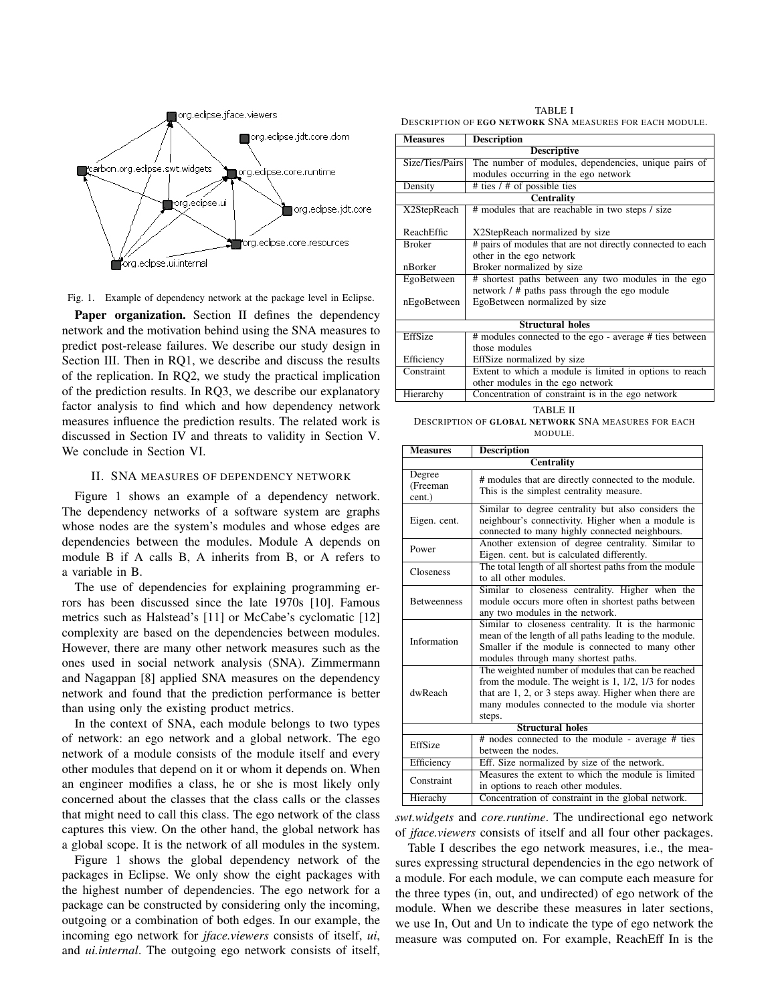

Fig. 1. Example of dependency network at the package level in Eclipse.

Paper organization. Section II defines the dependency network and the motivation behind using the SNA measures to predict post-release failures. We describe our study design in Section III. Then in RQ1, we describe and discuss the results of the replication. In RQ2, we study the practical implication of the prediction results. In RQ3, we describe our explanatory factor analysis to find which and how dependency network measures influence the prediction results. The related work is discussed in Section IV and threats to validity in Section V. We conclude in Section VI.

# II. SNA MEASURES OF DEPENDENCY NETWORK

Figure 1 shows an example of a dependency network. The dependency networks of a software system are graphs whose nodes are the system's modules and whose edges are dependencies between the modules. Module A depends on module B if A calls B, A inherits from B, or A refers to a variable in B.

The use of dependencies for explaining programming errors has been discussed since the late 1970s [10]. Famous metrics such as Halstead's [11] or McCabe's cyclomatic [12] complexity are based on the dependencies between modules. However, there are many other network measures such as the ones used in social network analysis (SNA). Zimmermann and Nagappan [8] applied SNA measures on the dependency network and found that the prediction performance is better than using only the existing product metrics.

In the context of SNA, each module belongs to two types of network: an ego network and a global network. The ego network of a module consists of the module itself and every other modules that depend on it or whom it depends on. When an engineer modifies a class, he or she is most likely only concerned about the classes that the class calls or the classes that might need to call this class. The ego network of the class captures this view. On the other hand, the global network has a global scope. It is the network of all modules in the system.

Figure 1 shows the global dependency network of the packages in Eclipse. We only show the eight packages with the highest number of dependencies. The ego network for a package can be constructed by considering only the incoming, outgoing or a combination of both edges. In our example, the incoming ego network for *jface.viewers* consists of itself, *ui*, and *ui.internal*. The outgoing ego network consists of itself,

TABLE I DESCRIPTION OF EGO NETWORK SNA MEASURES FOR EACH MODULE.

| <b>Measures</b>    | <b>Description</b>                                         |  |  |  |  |
|--------------------|------------------------------------------------------------|--|--|--|--|
| <b>Descriptive</b> |                                                            |  |  |  |  |
| Size/Ties/Pairs    | The number of modules, dependencies, unique pairs of       |  |  |  |  |
|                    | modules occurring in the ego network                       |  |  |  |  |
| Density            | # ties $\overline{\prime}$ # of possible ties              |  |  |  |  |
|                    | <b>Centrality</b>                                          |  |  |  |  |
| X2StepReach        | # modules that are reachable in two steps / size           |  |  |  |  |
|                    |                                                            |  |  |  |  |
| ReachEffic         | X2StepReach normalized by size                             |  |  |  |  |
| <b>Broker</b>      | # pairs of modules that are not directly connected to each |  |  |  |  |
|                    | other in the ego network                                   |  |  |  |  |
| nBorker            | Broker normalized by size                                  |  |  |  |  |
| EgoBetween         | # shortest paths between any two modules in the ego        |  |  |  |  |
|                    | network / # paths pass through the ego module              |  |  |  |  |
| nEgoBetween        | EgoBetween normalized by size                              |  |  |  |  |
|                    |                                                            |  |  |  |  |
|                    | <b>Structural holes</b>                                    |  |  |  |  |
| EffSize            | # modules connected to the ego - average # ties between    |  |  |  |  |
|                    | those modules                                              |  |  |  |  |
| Efficiency         | EffSize normalized by size                                 |  |  |  |  |
| Constraint         | Extent to which a module is limited in options to reach    |  |  |  |  |
|                    | other modules in the ego network                           |  |  |  |  |
| Hierarchy          | Concentration of constraint is in the ego network          |  |  |  |  |
| TABLE II           |                                                            |  |  |  |  |

| .                                                   |  |
|-----------------------------------------------------|--|
| DESCRIPTION OF GLOBAL NETWORK SNA MEASURES FOR EACH |  |
| MODULE.                                             |  |

| <b>Measures</b>              | <b>Description</b>                                                                                                                                                                                                                  |  |  |  |  |
|------------------------------|-------------------------------------------------------------------------------------------------------------------------------------------------------------------------------------------------------------------------------------|--|--|--|--|
|                              | <b>Centrality</b>                                                                                                                                                                                                                   |  |  |  |  |
| Degree<br>(Freeman<br>cent.) | # modules that are directly connected to the module.<br>This is the simplest centrality measure.                                                                                                                                    |  |  |  |  |
| Eigen. cent.                 | Similar to degree centrality but also considers the<br>neighbour's connectivity. Higher when a module is<br>connected to many highly connected neighbours.                                                                          |  |  |  |  |
| Power                        | Another extension of degree centrality. Similar to<br>Eigen. cent. but is calculated differently.                                                                                                                                   |  |  |  |  |
| Closeness                    | The total length of all shortest paths from the module<br>to all other modules.                                                                                                                                                     |  |  |  |  |
| <b>Betweenness</b>           | Similar to closeness centrality. Higher when the<br>module occurs more often in shortest paths between<br>any two modules in the network.                                                                                           |  |  |  |  |
| Information                  | Similar to closeness centrality. It is the harmonic<br>mean of the length of all paths leading to the module.<br>Smaller if the module is connected to many other<br>modules through many shortest paths.                           |  |  |  |  |
| dwReach                      | The weighted number of modules that can be reached<br>from the module. The weight is $1, 1/2, 1/3$ for nodes<br>that are 1, 2, or 3 steps away. Higher when there are<br>many modules connected to the module via shorter<br>steps. |  |  |  |  |
|                              | <b>Structural holes</b>                                                                                                                                                                                                             |  |  |  |  |
| EffSize                      | # nodes connected to the module - average # ties<br>between the nodes.                                                                                                                                                              |  |  |  |  |
| Efficiency                   | Eff. Size normalized by size of the network.                                                                                                                                                                                        |  |  |  |  |
| Constraint                   | Measures the extent to which the module is limited<br>in options to reach other modules.                                                                                                                                            |  |  |  |  |
| Hierachy                     | Concentration of constraint in the global network.                                                                                                                                                                                  |  |  |  |  |

*swt.widgets* and *core.runtime*. The undirectional ego network of *jface.viewers* consists of itself and all four other packages.

Table I describes the ego network measures, i.e., the measures expressing structural dependencies in the ego network of a module. For each module, we can compute each measure for the three types (in, out, and undirected) of ego network of the module. When we describe these measures in later sections, we use In, Out and Un to indicate the type of ego network the measure was computed on. For example, ReachEff In is the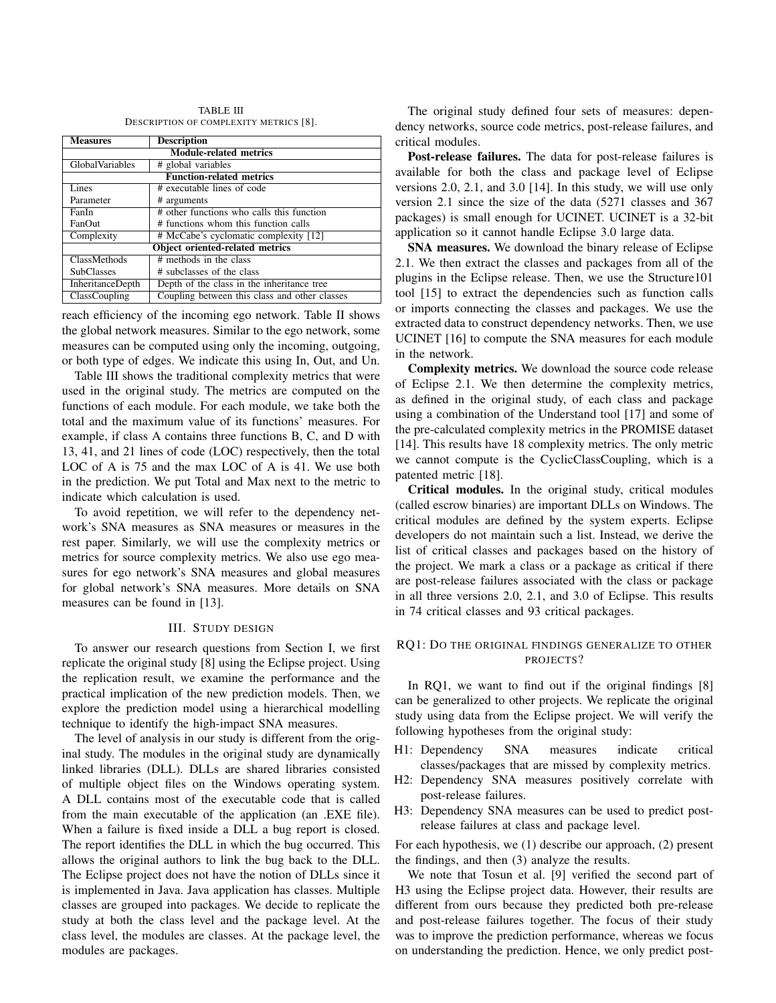TABLE III DESCRIPTION OF COMPLEXITY METRICS [8].

| <b>Measures</b>                 | <b>Description</b>                            |  |  |  |
|---------------------------------|-----------------------------------------------|--|--|--|
| <b>Module-related metrics</b>   |                                               |  |  |  |
| <b>GlobalVariables</b>          | # global variables                            |  |  |  |
|                                 | <b>Function-related metrics</b>               |  |  |  |
| Lines                           | # executable lines of code                    |  |  |  |
| Parameter                       | # arguments                                   |  |  |  |
| FanIn                           | # other functions who calls this function     |  |  |  |
| FanOut                          | # functions whom this function calls          |  |  |  |
| Complexity                      | # McCabe's cyclomatic complexity [12]         |  |  |  |
| Object oriented-related metrics |                                               |  |  |  |
| ClassMethods                    | # methods in the class                        |  |  |  |
| <b>SubClasses</b>               | # subclasses of the class                     |  |  |  |
| <b>InheritanceDepth</b>         | Depth of the class in the inheritance tree    |  |  |  |
| ClassCoupling                   | Coupling between this class and other classes |  |  |  |

reach efficiency of the incoming ego network. Table II shows the global network measures. Similar to the ego network, some measures can be computed using only the incoming, outgoing, or both type of edges. We indicate this using In, Out, and Un.

Table III shows the traditional complexity metrics that were used in the original study. The metrics are computed on the functions of each module. For each module, we take both the total and the maximum value of its functions' measures. For example, if class A contains three functions B, C, and D with 13, 41, and 21 lines of code (LOC) respectively, then the total LOC of A is 75 and the max LOC of A is 41. We use both in the prediction. We put Total and Max next to the metric to indicate which calculation is used.

To avoid repetition, we will refer to the dependency network's SNA measures as SNA measures or measures in the rest paper. Similarly, we will use the complexity metrics or metrics for source complexity metrics. We also use ego measures for ego network's SNA measures and global measures for global network's SNA measures. More details on SNA measures can be found in [13].

# III. STUDY DESIGN

To answer our research questions from Section I, we first replicate the original study [8] using the Eclipse project. Using the replication result, we examine the performance and the practical implication of the new prediction models. Then, we explore the prediction model using a hierarchical modelling technique to identify the high-impact SNA measures.

The level of analysis in our study is different from the original study. The modules in the original study are dynamically linked libraries (DLL). DLLs are shared libraries consisted of multiple object files on the Windows operating system. A DLL contains most of the executable code that is called from the main executable of the application (an .EXE file). When a failure is fixed inside a DLL a bug report is closed. The report identifies the DLL in which the bug occurred. This allows the original authors to link the bug back to the DLL. The Eclipse project does not have the notion of DLLs since it is implemented in Java. Java application has classes. Multiple classes are grouped into packages. We decide to replicate the study at both the class level and the package level. At the class level, the modules are classes. At the package level, the modules are packages.

The original study defined four sets of measures: dependency networks, source code metrics, post-release failures, and critical modules.

Post-release failures. The data for post-release failures is available for both the class and package level of Eclipse versions 2.0, 2.1, and 3.0 [14]. In this study, we will use only version 2.1 since the size of the data (5271 classes and 367 packages) is small enough for UCINET. UCINET is a 32-bit application so it cannot handle Eclipse 3.0 large data.

SNA measures. We download the binary release of Eclipse 2.1. We then extract the classes and packages from all of the plugins in the Eclipse release. Then, we use the Structure101 tool [15] to extract the dependencies such as function calls or imports connecting the classes and packages. We use the extracted data to construct dependency networks. Then, we use UCINET [16] to compute the SNA measures for each module in the network.

Complexity metrics. We download the source code release of Eclipse 2.1. We then determine the complexity metrics, as defined in the original study, of each class and package using a combination of the Understand tool [17] and some of the pre-calculated complexity metrics in the PROMISE dataset [14]. This results have 18 complexity metrics. The only metric we cannot compute is the CyclicClassCoupling, which is a patented metric [18].

Critical modules. In the original study, critical modules (called escrow binaries) are important DLLs on Windows. The critical modules are defined by the system experts. Eclipse developers do not maintain such a list. Instead, we derive the list of critical classes and packages based on the history of the project. We mark a class or a package as critical if there are post-release failures associated with the class or package in all three versions 2.0, 2.1, and 3.0 of Eclipse. This results in 74 critical classes and 93 critical packages.

# RQ1: DO THE ORIGINAL FINDINGS GENERALIZE TO OTHER PROJECTS?

In RQ1, we want to find out if the original findings [8] can be generalized to other projects. We replicate the original study using data from the Eclipse project. We will verify the following hypotheses from the original study:

- H1: Dependency SNA measures indicate critical classes/packages that are missed by complexity metrics.
- H2: Dependency SNA measures positively correlate with post-release failures.
- H3: Dependency SNA measures can be used to predict postrelease failures at class and package level.

For each hypothesis, we (1) describe our approach, (2) present the findings, and then (3) analyze the results.

We note that Tosun et al. [9] verified the second part of H3 using the Eclipse project data. However, their results are different from ours because they predicted both pre-release and post-release failures together. The focus of their study was to improve the prediction performance, whereas we focus on understanding the prediction. Hence, we only predict post-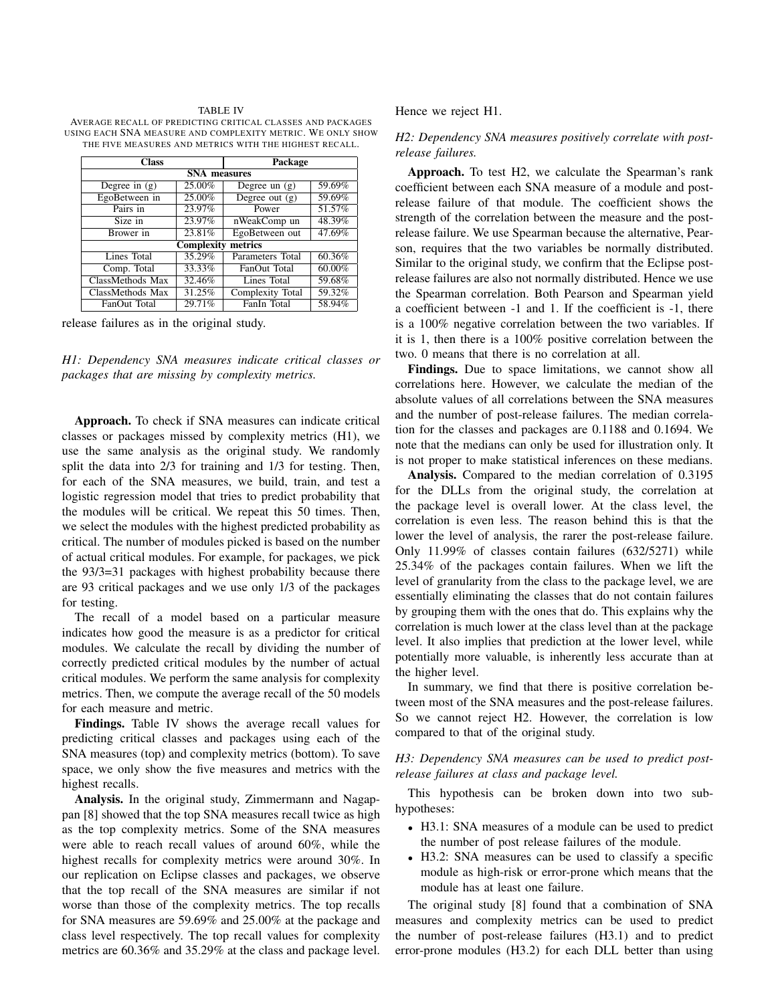#### TABLE IV AVERAGE RECALL OF PREDICTING CRITICAL CLASSES AND PACKAGES USING EACH SNA MEASURE AND COMPLEXITY METRIC. WE ONLY SHOW THE FIVE MEASURES AND METRICS WITH THE HIGHEST RECALL.

| <b>Class</b>          |        | Package          |        |  |  |
|-----------------------|--------|------------------|--------|--|--|
| <b>SNA</b> measures   |        |                  |        |  |  |
| Degree in $(g)$       | 25.00% | Degree un $(g)$  | 59.69% |  |  |
| EgoBetween in         | 25.00% | Degree out $(g)$ | 59.69% |  |  |
| Pairs in              | 23.97% | Power            | 51.57% |  |  |
| Size in               | 23.97% | nWeakComp un     | 48.39% |  |  |
| Brower in             | 23.81% | EgoBetween out   | 47.69% |  |  |
| Complexity<br>metrics |        |                  |        |  |  |
| Lines Total           | 35.29% | Parameters Total | 60.36% |  |  |
| Comp. Total           | 33.33% | FanOut Total     | 60.00% |  |  |
| ClassMethods Max      | 32.46% | Lines Total      | 59.68% |  |  |
| ClassMethods Max      | 31.25% | Complexity Total | 59.32% |  |  |
| FanOut Total          | 29.71% | FanIn Total      | 58.94% |  |  |

release failures as in the original study.

*H1: Dependency SNA measures indicate critical classes or packages that are missing by complexity metrics.*

Approach. To check if SNA measures can indicate critical classes or packages missed by complexity metrics (H1), we use the same analysis as the original study. We randomly split the data into 2/3 for training and 1/3 for testing. Then, for each of the SNA measures, we build, train, and test a logistic regression model that tries to predict probability that the modules will be critical. We repeat this 50 times. Then, we select the modules with the highest predicted probability as critical. The number of modules picked is based on the number of actual critical modules. For example, for packages, we pick the 93/3=31 packages with highest probability because there are 93 critical packages and we use only 1/3 of the packages for testing.

The recall of a model based on a particular measure indicates how good the measure is as a predictor for critical modules. We calculate the recall by dividing the number of correctly predicted critical modules by the number of actual critical modules. We perform the same analysis for complexity metrics. Then, we compute the average recall of the 50 models for each measure and metric.

Findings. Table IV shows the average recall values for predicting critical classes and packages using each of the SNA measures (top) and complexity metrics (bottom). To save space, we only show the five measures and metrics with the highest recalls.

Analysis. In the original study, Zimmermann and Nagappan [8] showed that the top SNA measures recall twice as high as the top complexity metrics. Some of the SNA measures were able to reach recall values of around 60%, while the highest recalls for complexity metrics were around 30%. In our replication on Eclipse classes and packages, we observe that the top recall of the SNA measures are similar if not worse than those of the complexity metrics. The top recalls for SNA measures are 59.69% and 25.00% at the package and class level respectively. The top recall values for complexity metrics are 60.36% and 35.29% at the class and package level. Hence we reject H1.

# *H2: Dependency SNA measures positively correlate with postrelease failures.*

Approach. To test H2, we calculate the Spearman's rank coefficient between each SNA measure of a module and postrelease failure of that module. The coefficient shows the strength of the correlation between the measure and the postrelease failure. We use Spearman because the alternative, Pearson, requires that the two variables be normally distributed. Similar to the original study, we confirm that the Eclipse postrelease failures are also not normally distributed. Hence we use the Spearman correlation. Both Pearson and Spearman yield a coefficient between -1 and 1. If the coefficient is -1, there is a 100% negative correlation between the two variables. If it is 1, then there is a 100% positive correlation between the two. 0 means that there is no correlation at all.

Findings. Due to space limitations, we cannot show all correlations here. However, we calculate the median of the absolute values of all correlations between the SNA measures and the number of post-release failures. The median correlation for the classes and packages are 0.1188 and 0.1694. We note that the medians can only be used for illustration only. It is not proper to make statistical inferences on these medians.

Analysis. Compared to the median correlation of 0.3195 for the DLLs from the original study, the correlation at the package level is overall lower. At the class level, the correlation is even less. The reason behind this is that the lower the level of analysis, the rarer the post-release failure. Only 11.99% of classes contain failures (632/5271) while 25.34% of the packages contain failures. When we lift the level of granularity from the class to the package level, we are essentially eliminating the classes that do not contain failures by grouping them with the ones that do. This explains why the correlation is much lower at the class level than at the package level. It also implies that prediction at the lower level, while potentially more valuable, is inherently less accurate than at the higher level.

In summary, we find that there is positive correlation between most of the SNA measures and the post-release failures. So we cannot reject H2. However, the correlation is low compared to that of the original study.

# *H3: Dependency SNA measures can be used to predict postrelease failures at class and package level.*

This hypothesis can be broken down into two subhypotheses:

- H3.1: SNA measures of a module can be used to predict the number of post release failures of the module.
- H3.2: SNA measures can be used to classify a specific module as high-risk or error-prone which means that the module has at least one failure.

The original study [8] found that a combination of SNA measures and complexity metrics can be used to predict the number of post-release failures (H3.1) and to predict error-prone modules (H3.2) for each DLL better than using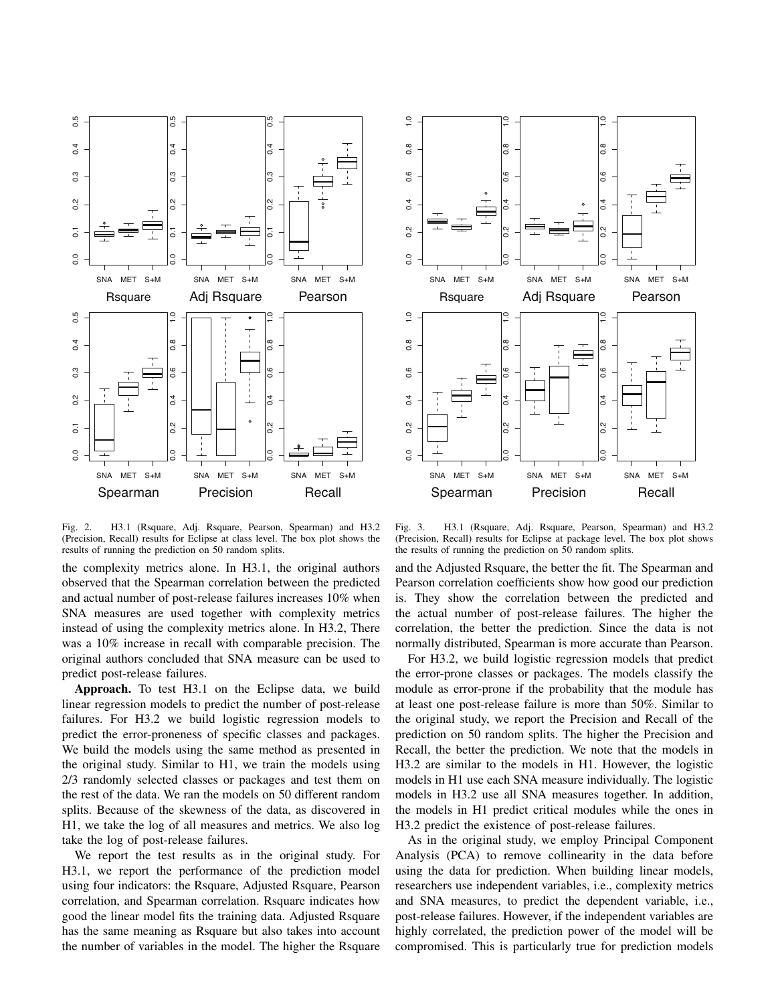



Fig. 2. H3.1 (Rsquare, Adj. Rsquare, Pearson, Spearman) and H3.2 (Precision, Recall) results for Eclipse at class level. The box plot shows the results of running the prediction on 50 random splits.

the complexity metrics alone. In H3.1, the original authors observed that the Spearman correlation between the predicted and actual number of post-release failures increases 10% when SNA measures are used together with complexity metrics instead of using the complexity metrics alone. In H3.2, There was a 10% increase in recall with comparable precision. The original authors concluded that SNA measure can be used to predict post-release failures.

Approach. To test H3.1 on the Eclipse data, we build linear regression models to predict the number of post-release failures. For H3.2 we build logistic regression models to predict the error-proneness of specific classes and packages. We build the models using the same method as presented in the original study. Similar to H1, we train the models using 2/3 randomly selected classes or packages and test them on the rest of the data. We ran the models on 50 different random splits. Because of the skewness of the data, as discovered in H1, we take the log of all measures and metrics. We also log take the log of post-release failures.

We report the test results as in the original study. For H3.1, we report the performance of the prediction model using four indicators: the Rsquare, Adjusted Rsquare, Pearson correlation, and Spearman correlation. Rsquare indicates how good the linear model fits the training data. Adjusted Rsquare has the same meaning as Rsquare but also takes into account the number of variables in the model. The higher the Rsquare

Fig. 3. H3.1 (Rsquare, Adj. Rsquare, Pearson, Spearman) and H3.2 (Precision, Recall) results for Eclipse at package level. The box plot shows the results of running the prediction on 50 random splits.

and the Adjusted Rsquare, the better the fit. The Spearman and Pearson correlation coefficients show how good our prediction is. They show the correlation between the predicted and the actual number of post-release failures. The higher the correlation, the better the prediction. Since the data is not normally distributed, Spearman is more accurate than Pearson.

For H3.2, we build logistic regression models that predict the error-prone classes or packages. The models classify the module as error-prone if the probability that the module has at least one post-release failure is more than 50%. Similar to the original study, we report the Precision and Recall of the prediction on 50 random splits. The higher the Precision and Recall, the better the prediction. We note that the models in H3.2 are similar to the models in H1. However, the logistic models in H1 use each SNA measure individually. The logistic models in H3.2 use all SNA measures together. In addition, the models in H1 predict critical modules while the ones in H3.2 predict the existence of post-release failures.

As in the original study, we employ Principal Component Analysis (PCA) to remove collinearity in the data before using the data for prediction. When building linear models, researchers use independent variables, i.e., complexity metrics and SNA measures, to predict the dependent variable, i.e., post-release failures. However, if the independent variables are highly correlated, the prediction power of the model will be compromised. This is particularly true for prediction models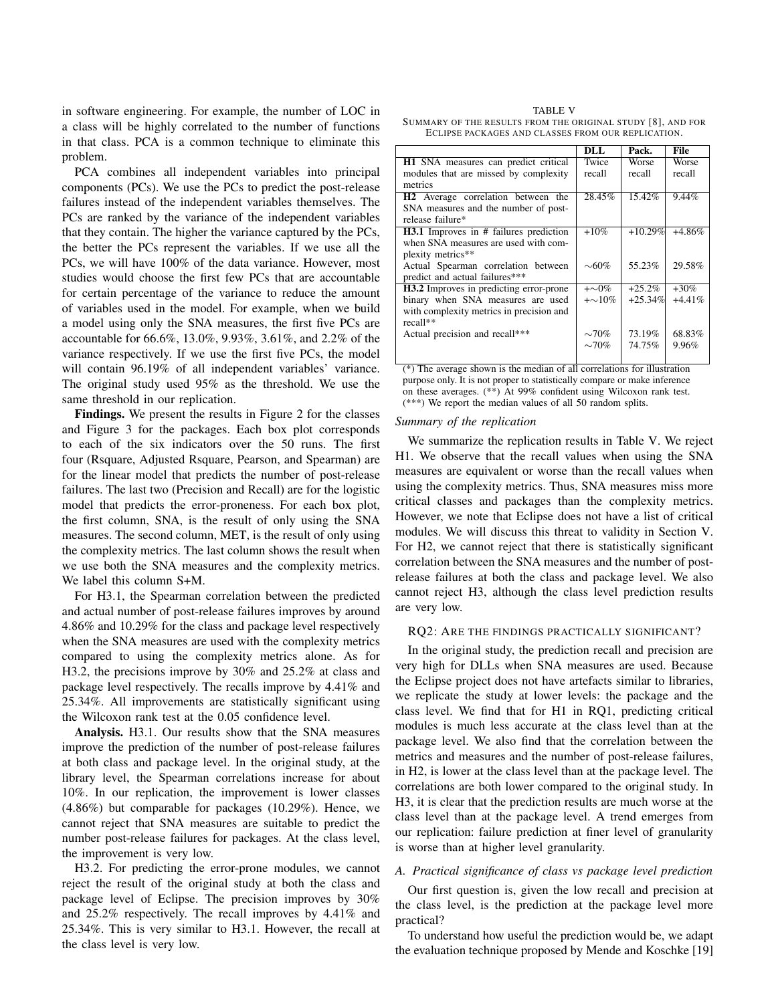in software engineering. For example, the number of LOC in a class will be highly correlated to the number of functions in that class. PCA is a common technique to eliminate this problem.

PCA combines all independent variables into principal components (PCs). We use the PCs to predict the post-release failures instead of the independent variables themselves. The PCs are ranked by the variance of the independent variables that they contain. The higher the variance captured by the PCs, the better the PCs represent the variables. If we use all the PCs, we will have 100% of the data variance. However, most studies would choose the first few PCs that are accountable for certain percentage of the variance to reduce the amount of variables used in the model. For example, when we build a model using only the SNA measures, the first five PCs are accountable for 66.6%, 13.0%, 9.93%, 3.61%, and 2.2% of the variance respectively. If we use the first five PCs, the model will contain 96.19% of all independent variables' variance. The original study used 95% as the threshold. We use the same threshold in our replication.

Findings. We present the results in Figure 2 for the classes and Figure 3 for the packages. Each box plot corresponds to each of the six indicators over the 50 runs. The first four (Rsquare, Adjusted Rsquare, Pearson, and Spearman) are for the linear model that predicts the number of post-release failures. The last two (Precision and Recall) are for the logistic model that predicts the error-proneness. For each box plot, the first column, SNA, is the result of only using the SNA measures. The second column, MET, is the result of only using the complexity metrics. The last column shows the result when we use both the SNA measures and the complexity metrics. We label this column S+M.

For H3.1, the Spearman correlation between the predicted and actual number of post-release failures improves by around 4.86% and 10.29% for the class and package level respectively when the SNA measures are used with the complexity metrics compared to using the complexity metrics alone. As for H3.2, the precisions improve by 30% and 25.2% at class and package level respectively. The recalls improve by 4.41% and 25.34%. All improvements are statistically significant using the Wilcoxon rank test at the 0.05 confidence level.

Analysis. H3.1. Our results show that the SNA measures improve the prediction of the number of post-release failures at both class and package level. In the original study, at the library level, the Spearman correlations increase for about 10%. In our replication, the improvement is lower classes (4.86%) but comparable for packages (10.29%). Hence, we cannot reject that SNA measures are suitable to predict the number post-release failures for packages. At the class level, the improvement is very low.

H3.2. For predicting the error-prone modules, we cannot reject the result of the original study at both the class and package level of Eclipse. The precision improves by 30% and 25.2% respectively. The recall improves by 4.41% and 25.34%. This is very similar to H3.1. However, the recall at the class level is very low.

TABLE V SUMMARY OF THE RESULTS FROM THE ORIGINAL STUDY [8], AND FOR ECLIPSE PACKAGES AND CLASSES FROM OUR REPLICATION.

|                                                | DLL.          | Pack.     | File     |
|------------------------------------------------|---------------|-----------|----------|
| <b>H1</b> SNA measures can predict critical    | Twice         | Worse     | Worse    |
| modules that are missed by complexity          | recall        | recall    | recall   |
| metrics                                        |               |           |          |
| H <sub>2</sub> Average correlation between the | 28.45%        | 15.42%    | 9.44%    |
| SNA measures and the number of post-           |               |           |          |
| release failure*                               |               |           |          |
| <b>H3.1</b> Improves in # failures prediction  | $+10%$        | $+10.29%$ | $+4.86%$ |
| when SNA measures are used with com-           |               |           |          |
| plexity metrics**                              |               |           |          |
| Actual Spearman correlation between            | $\sim 60\%$   | 55.23%    | 29.58%   |
| predict and actual failures***                 |               |           |          |
| <b>H3.2</b> Improves in predicting error-prone | $+\infty$ 0%  | $+25.2%$  | $+30%$   |
| binary when SNA measures are used              | $+\infty10\%$ | $+25.34%$ | $+4.41%$ |
| with complexity metrics in precision and       |               |           |          |
| recall**                                       |               |           |          |
| Actual precision and recall***                 | $\sim70\%$    | 73.19%    | 68.83%   |
|                                                | $\sim 70\%$   | 74.75%    | 9.96%    |
|                                                |               |           |          |

(\*) The average shown is the median of all correlations for illustration purpose only. It is not proper to statistically compare or make inference on these averages. (\*\*) At 99% confident using Wilcoxon rank test. (\*\*\*) We report the median values of all 50 random splits.

# *Summary of the replication*

We summarize the replication results in Table V. We reject H1. We observe that the recall values when using the SNA measures are equivalent or worse than the recall values when using the complexity metrics. Thus, SNA measures miss more critical classes and packages than the complexity metrics. However, we note that Eclipse does not have a list of critical modules. We will discuss this threat to validity in Section V. For H2, we cannot reject that there is statistically significant correlation between the SNA measures and the number of postrelease failures at both the class and package level. We also cannot reject H3, although the class level prediction results are very low.

#### RQ2: ARE THE FINDINGS PRACTICALLY SIGNIFICANT?

In the original study, the prediction recall and precision are very high for DLLs when SNA measures are used. Because the Eclipse project does not have artefacts similar to libraries, we replicate the study at lower levels: the package and the class level. We find that for H1 in RQ1, predicting critical modules is much less accurate at the class level than at the package level. We also find that the correlation between the metrics and measures and the number of post-release failures, in H2, is lower at the class level than at the package level. The correlations are both lower compared to the original study. In H3, it is clear that the prediction results are much worse at the class level than at the package level. A trend emerges from our replication: failure prediction at finer level of granularity is worse than at higher level granularity.

# *A. Practical significance of class vs package level prediction*

Our first question is, given the low recall and precision at the class level, is the prediction at the package level more practical?

To understand how useful the prediction would be, we adapt the evaluation technique proposed by Mende and Koschke [19]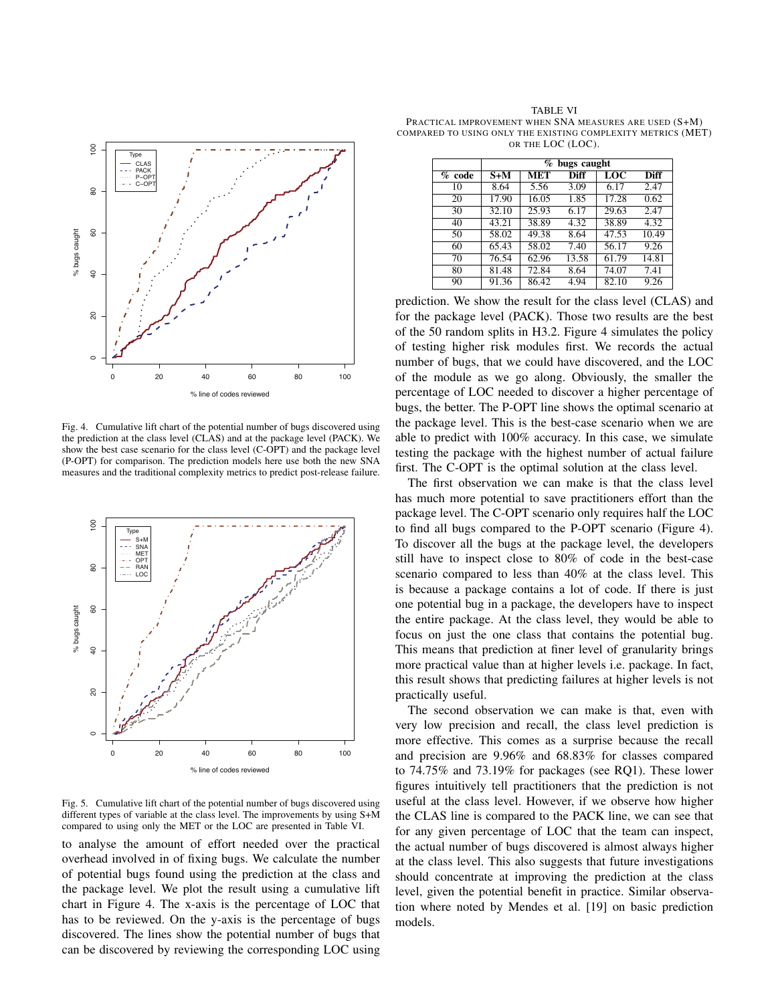

Fig. 4. Cumulative lift chart of the potential number of bugs discovered using the prediction at the class level (CLAS) and at the package level (PACK). We show the best case scenario for the class level (C-OPT) and the package level (P-OPT) for comparison. The prediction models here use both the new SNA measures and the traditional complexity metrics to predict post-release failure.



Fig. 5. Cumulative lift chart of the potential number of bugs discovered using different types of variable at the class level. The improvements by using S+M compared to using only the MET or the LOC are presented in Table VI.

to analyse the amount of effort needed over the practical overhead involved in of fixing bugs. We calculate the number of potential bugs found using the prediction at the class and the package level. We plot the result using a cumulative lift chart in Figure 4. The x-axis is the percentage of LOC that has to be reviewed. On the y-axis is the percentage of bugs discovered. The lines show the potential number of bugs that can be discovered by reviewing the corresponding LOC using

TABLE VI PRACTICAL IMPROVEMENT WHEN SNA MEASURES ARE USED (S+M) COMPARED TO USING ONLY THE EXISTING COMPLEXITY METRICS (MET) OR THE LOC (LOC).

|          | % bugs caught      |            |       |                         |             |
|----------|--------------------|------------|-------|-------------------------|-------------|
| $%$ code | $S+M$              | <b>MET</b> | Diff  | $\overline{\text{LOC}}$ | <b>Diff</b> |
| 10       | 8.64               | 5.56       | 3.09  | 6.17                    | 2.47        |
| 20       | 17.90              | 16.05      | 1.85  | $17.\overline{28}$      | 0.62        |
| 30       | 32.10              | 25.93      | 6.17  | 29.63                   | 2.47        |
| 40       | $43.\overline{21}$ | 38.89      | 4.32  | 38.89                   | 4.32        |
| 50       | 58.02              | 49.38      | 8.64  | 47.53                   | 10.49       |
| 60       | $65.\overline{43}$ | 58.02      | 7.40  | 56.17                   | 9.26        |
| 70       | 76.54              | 62.96      | 13.58 | 61.79                   | 14.81       |
| 80       | 81.48              | 72.84      | 8.64  | 74.07                   | 7.41        |
| 90       | 91.36              | 86.42      | 4.94  | 82.10                   | 9.26        |

prediction. We show the result for the class level (CLAS) and for the package level (PACK). Those two results are the best of the 50 random splits in H3.2. Figure 4 simulates the policy of testing higher risk modules first. We records the actual number of bugs, that we could have discovered, and the LOC of the module as we go along. Obviously, the smaller the percentage of LOC needed to discover a higher percentage of bugs, the better. The P-OPT line shows the optimal scenario at the package level. This is the best-case scenario when we are able to predict with 100% accuracy. In this case, we simulate testing the package with the highest number of actual failure first. The C-OPT is the optimal solution at the class level.

The first observation we can make is that the class level has much more potential to save practitioners effort than the package level. The C-OPT scenario only requires half the LOC to find all bugs compared to the P-OPT scenario (Figure 4). To discover all the bugs at the package level, the developers still have to inspect close to 80% of code in the best-case scenario compared to less than 40% at the class level. This is because a package contains a lot of code. If there is just one potential bug in a package, the developers have to inspect the entire package. At the class level, they would be able to focus on just the one class that contains the potential bug. This means that prediction at finer level of granularity brings more practical value than at higher levels i.e. package. In fact, this result shows that predicting failures at higher levels is not practically useful.

The second observation we can make is that, even with very low precision and recall, the class level prediction is more effective. This comes as a surprise because the recall and precision are 9.96% and 68.83% for classes compared to 74.75% and 73.19% for packages (see RQ1). These lower figures intuitively tell practitioners that the prediction is not useful at the class level. However, if we observe how higher the CLAS line is compared to the PACK line, we can see that for any given percentage of LOC that the team can inspect, the actual number of bugs discovered is almost always higher at the class level. This also suggests that future investigations should concentrate at improving the prediction at the class level, given the potential benefit in practice. Similar observation where noted by Mendes et al. [19] on basic prediction models.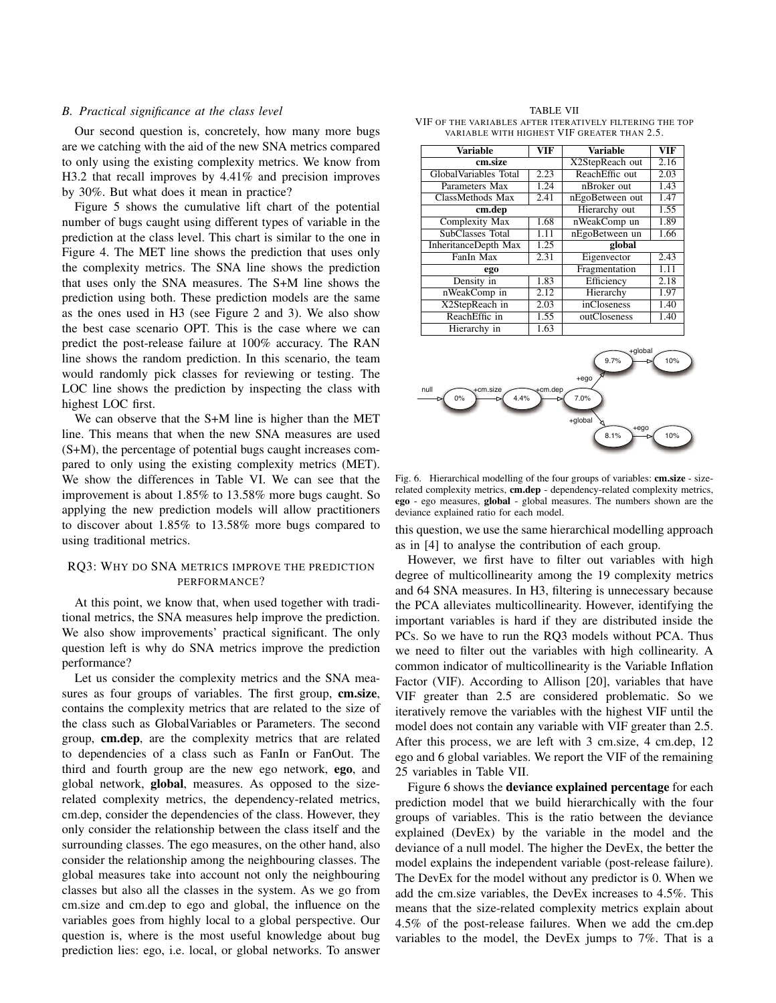#### *B. Practical significance at the class level*

Our second question is, concretely, how many more bugs are we catching with the aid of the new SNA metrics compared to only using the existing complexity metrics. We know from H3.2 that recall improves by 4.41% and precision improves by 30%. But what does it mean in practice?

Figure 5 shows the cumulative lift chart of the potential number of bugs caught using different types of variable in the prediction at the class level. This chart is similar to the one in Figure 4. The MET line shows the prediction that uses only the complexity metrics. The SNA line shows the prediction that uses only the SNA measures. The S+M line shows the prediction using both. These prediction models are the same as the ones used in H3 (see Figure 2 and 3). We also show the best case scenario OPT. This is the case where we can predict the post-release failure at 100% accuracy. The RAN line shows the random prediction. In this scenario, the team would randomly pick classes for reviewing or testing. The LOC line shows the prediction by inspecting the class with highest LOC first.

We can observe that the S+M line is higher than the MET line. This means that when the new SNA measures are used (S+M), the percentage of potential bugs caught increases compared to only using the existing complexity metrics (MET). We show the differences in Table VI. We can see that the improvement is about 1.85% to 13.58% more bugs caught. So applying the new prediction models will allow practitioners to discover about 1.85% to 13.58% more bugs compared to using traditional metrics.

# RQ3: WHY DO SNA METRICS IMPROVE THE PREDICTION PERFORMANCE?

At this point, we know that, when used together with traditional metrics, the SNA measures help improve the prediction. We also show improvements' practical significant. The only question left is why do SNA metrics improve the prediction performance?

Let us consider the complexity metrics and the SNA measures as four groups of variables. The first group, cm.size, contains the complexity metrics that are related to the size of the class such as GlobalVariables or Parameters. The second group, cm.dep, are the complexity metrics that are related to dependencies of a class such as FanIn or FanOut. The third and fourth group are the new ego network, ego, and global network, global, measures. As opposed to the sizerelated complexity metrics, the dependency-related metrics, cm.dep, consider the dependencies of the class. However, they only consider the relationship between the class itself and the surrounding classes. The ego measures, on the other hand, also consider the relationship among the neighbouring classes. The global measures take into account not only the neighbouring classes but also all the classes in the system. As we go from cm.size and cm.dep to ego and global, the influence on the variables goes from highly local to a global perspective. Our question is, where is the most useful knowledge about bug prediction lies: ego, i.e. local, or global networks. To answer

TABLE VII VIF OF THE VARIABLES AFTER ITERATIVELY FILTERING THE TOP VARIABLE WITH HIGHEST VIF GREATER THAN 2.5.

| <b>Variable</b>       | VIF  | <b>Variable</b>        | VIF  |
|-----------------------|------|------------------------|------|
| cm.size               |      | X2StepReach out        | 2.16 |
| GlobalVariables Total | 2.23 | ReachEffic out         | 2.03 |
| Parameters Max        | 1.24 | nBroker out            | 1.43 |
| ClassMethods Max      | 2.41 | nEgoBetween out        | 1.47 |
| cm.dep                |      | Hierarchy out          | 1.55 |
| Complexity Max        | 1.68 | nWeakComp un           | 1.89 |
| SubClasses Total      | 1.11 | nEgoBetween un<br>1.66 |      |
| InheritanceDepth Max  | 1.25 | global                 |      |
| FanIn Max             | 2.31 | Eigenvector            | 2.43 |
| ego                   |      |                        | 1.11 |
| Density in            | 1.83 | Efficiency             | 2.18 |
| nWeakComp in          | 2.12 | Hierarchy              | 1.97 |
| X2StepReach in        | 2.03 | inCloseness            | 1.40 |
| ReachEffic in         | 1.55 | outCloseness           | 1.40 |
| Hierarchy in          | 1.63 |                        |      |



Fig. 6. Hierarchical modelling of the four groups of variables: cm.size - sizerelated complexity metrics, cm.dep - dependency-related complexity metrics, ego - ego measures, global - global measures. The numbers shown are the deviance explained ratio for each model.

this question, we use the same hierarchical modelling approach as in [4] to analyse the contribution of each group.

However, we first have to filter out variables with high degree of multicollinearity among the 19 complexity metrics and 64 SNA measures. In H3, filtering is unnecessary because the PCA alleviates multicollinearity. However, identifying the important variables is hard if they are distributed inside the PCs. So we have to run the RQ3 models without PCA. Thus we need to filter out the variables with high collinearity. A common indicator of multicollinearity is the Variable Inflation Factor (VIF). According to Allison [20], variables that have VIF greater than 2.5 are considered problematic. So we iteratively remove the variables with the highest VIF until the model does not contain any variable with VIF greater than 2.5. After this process, we are left with 3 cm.size, 4 cm.dep, 12 ego and 6 global variables. We report the VIF of the remaining 25 variables in Table VII.

Figure 6 shows the deviance explained percentage for each prediction model that we build hierarchically with the four groups of variables. This is the ratio between the deviance explained (DevEx) by the variable in the model and the deviance of a null model. The higher the DevEx, the better the model explains the independent variable (post-release failure). The DevEx for the model without any predictor is 0. When we add the cm.size variables, the DevEx increases to 4.5%. This means that the size-related complexity metrics explain about 4.5% of the post-release failures. When we add the cm.dep variables to the model, the DevEx jumps to 7%. That is a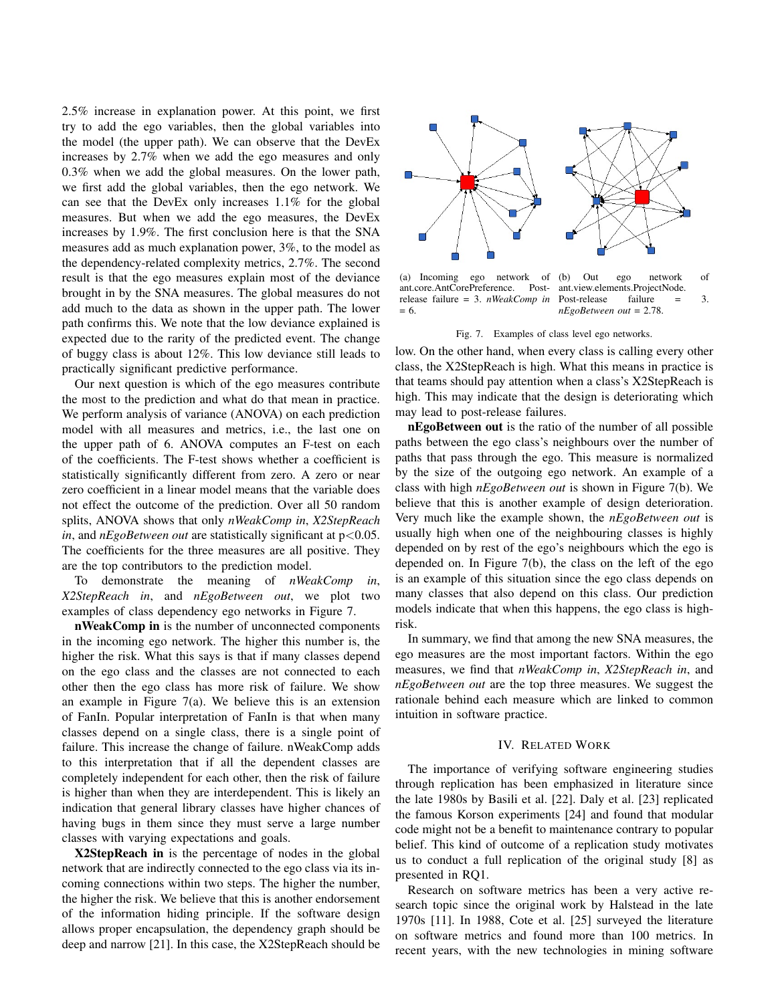2.5% increase in explanation power. At this point, we first try to add the ego variables, then the global variables into the model (the upper path). We can observe that the DevEx increases by 2.7% when we add the ego measures and only 0.3% when we add the global measures. On the lower path, we first add the global variables, then the ego network. We can see that the DevEx only increases 1.1% for the global measures. But when we add the ego measures, the DevEx increases by 1.9%. The first conclusion here is that the SNA measures add as much explanation power, 3%, to the model as the dependency-related complexity metrics, 2.7%. The second result is that the ego measures explain most of the deviance brought in by the SNA measures. The global measures do not add much to the data as shown in the upper path. The lower path confirms this. We note that the low deviance explained is expected due to the rarity of the predicted event. The change of buggy class is about 12%. This low deviance still leads to practically significant predictive performance.

Our next question is which of the ego measures contribute the most to the prediction and what do that mean in practice. We perform analysis of variance (ANOVA) on each prediction model with all measures and metrics, i.e., the last one on the upper path of 6. ANOVA computes an F-test on each of the coefficients. The F-test shows whether a coefficient is statistically significantly different from zero. A zero or near zero coefficient in a linear model means that the variable does not effect the outcome of the prediction. Over all 50 random splits, ANOVA shows that only *nWeakComp in*, *X2StepReach in*, and *nEgoBetween out* are statistically significant at p<0.05. The coefficients for the three measures are all positive. They are the top contributors to the prediction model.

To demonstrate the meaning of *nWeakComp in*, *X2StepReach in*, and *nEgoBetween out*, we plot two examples of class dependency ego networks in Figure 7.

nWeakComp in is the number of unconnected components in the incoming ego network. The higher this number is, the higher the risk. What this says is that if many classes depend on the ego class and the classes are not connected to each other then the ego class has more risk of failure. We show an example in Figure 7(a). We believe this is an extension of FanIn. Popular interpretation of FanIn is that when many classes depend on a single class, there is a single point of failure. This increase the change of failure. nWeakComp adds to this interpretation that if all the dependent classes are completely independent for each other, then the risk of failure is higher than when they are interdependent. This is likely an indication that general library classes have higher chances of having bugs in them since they must serve a large number classes with varying expectations and goals.

X2StepReach in is the percentage of nodes in the global network that are indirectly connected to the ego class via its incoming connections within two steps. The higher the number, the higher the risk. We believe that this is another endorsement of the information hiding principle. If the software design allows proper encapsulation, the dependency graph should be deep and narrow [21]. In this case, the X2StepReach should be



(a) Incoming ego network of (b) Out ego network of ant.core.AntCorePreference. Postrelease failure = 3. *nWeakComp in* Post-release failure = 3.  $= 6.$ ant.view.elements.ProjectNode. *nEgoBetween out* = 2.78.

#### Fig. 7. Examples of class level ego networks.

low. On the other hand, when every class is calling every other class, the X2StepReach is high. What this means in practice is that teams should pay attention when a class's X2StepReach is high. This may indicate that the design is deteriorating which may lead to post-release failures.

nEgoBetween out is the ratio of the number of all possible paths between the ego class's neighbours over the number of paths that pass through the ego. This measure is normalized by the size of the outgoing ego network. An example of a class with high *nEgoBetween out* is shown in Figure 7(b). We believe that this is another example of design deterioration. Very much like the example shown, the *nEgoBetween out* is usually high when one of the neighbouring classes is highly depended on by rest of the ego's neighbours which the ego is depended on. In Figure 7(b), the class on the left of the ego is an example of this situation since the ego class depends on many classes that also depend on this class. Our prediction models indicate that when this happens, the ego class is highrisk.

In summary, we find that among the new SNA measures, the ego measures are the most important factors. Within the ego measures, we find that *nWeakComp in*, *X2StepReach in*, and *nEgoBetween out* are the top three measures. We suggest the rationale behind each measure which are linked to common intuition in software practice.

# IV. RELATED WORK

The importance of verifying software engineering studies through replication has been emphasized in literature since the late 1980s by Basili et al. [22]. Daly et al. [23] replicated the famous Korson experiments [24] and found that modular code might not be a benefit to maintenance contrary to popular belief. This kind of outcome of a replication study motivates us to conduct a full replication of the original study [8] as presented in RQ1.

Research on software metrics has been a very active research topic since the original work by Halstead in the late 1970s [11]. In 1988, Cote et al. [25] surveyed the literature on software metrics and found more than 100 metrics. In recent years, with the new technologies in mining software